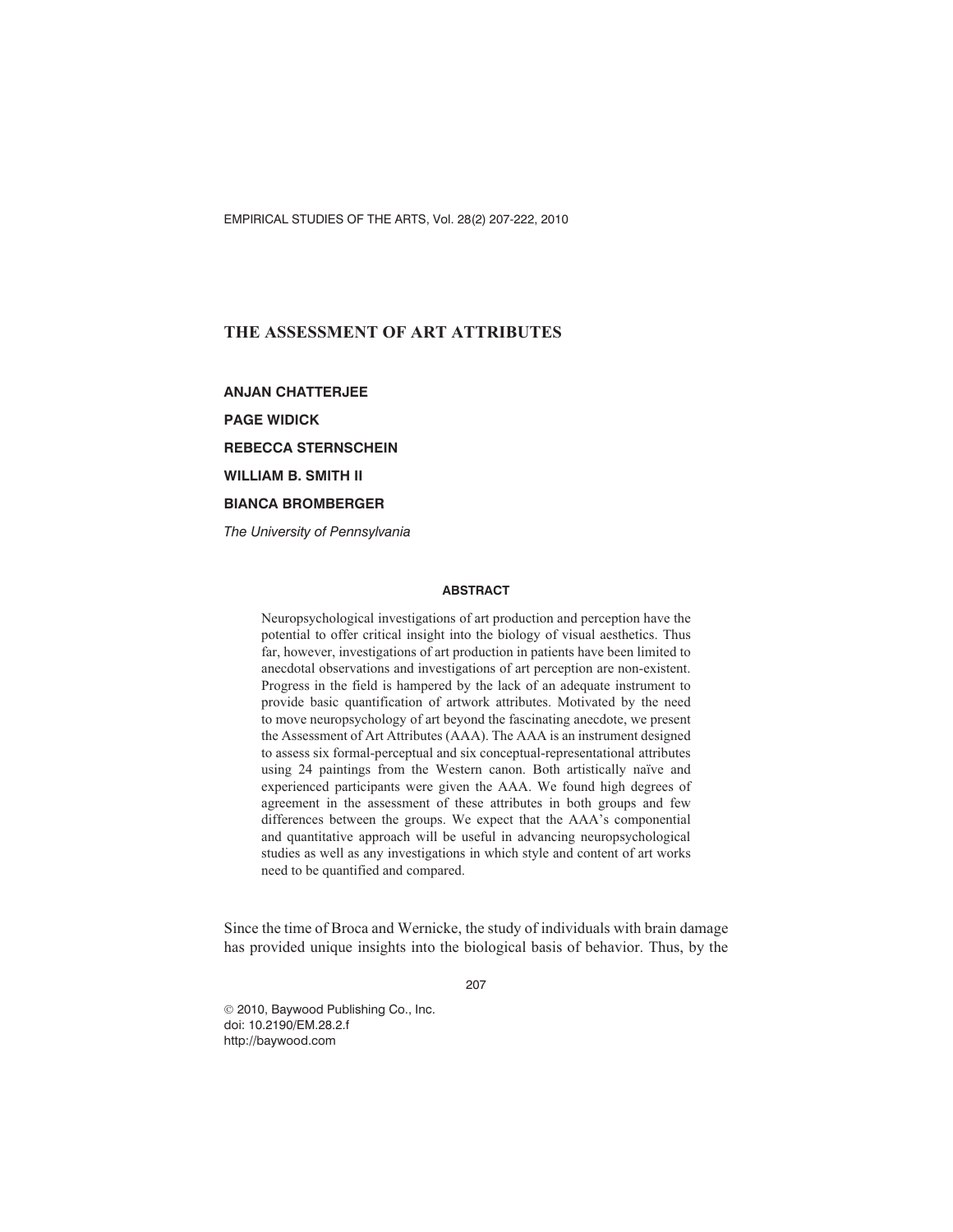EMPIRICAL STUDIES OF THE ARTS, Vol. 28(2) 207-222, 2010

# **THE ASSESSMENT OF ART ATTRIBUTES**

**ANJAN CHATTERJEE PAGE WIDICK REBECCA STERNSCHEIN WILLIAM B. SMITH II BIANCA BROMBERGER** *The University of Pennsylvania*

#### **ABSTRACT**

Neuropsychological investigations of art production and perception have the potential to offer critical insight into the biology of visual aesthetics. Thus far, however, investigations of art production in patients have been limited to anecdotal observations and investigations of art perception are non-existent. Progress in the field is hampered by the lack of an adequate instrument to provide basic quantification of artwork attributes. Motivated by the need to move neuropsychology of art beyond the fascinating anecdote, we present the Assessment of Art Attributes (AAA). The AAA is an instrument designed to assess six formal-perceptual and six conceptual-representational attributes using 24 paintings from the Western canon. Both artistically naïve and experienced participants were given the AAA. We found high degrees of agreement in the assessment of these attributes in both groups and few differences between the groups. We expect that the AAA's componential and quantitative approach will be useful in advancing neuropsychological studies as well as any investigations in which style and content of art works need to be quantified and compared.

Since the time of Broca and Wernicke, the study of individuals with brain damage has provided unique insights into the biological basis of behavior. Thus, by the

207

 $©$  2010, Baywood Publishing Co., Inc. doi: 10.2190/EM.28.2.f http://baywood.com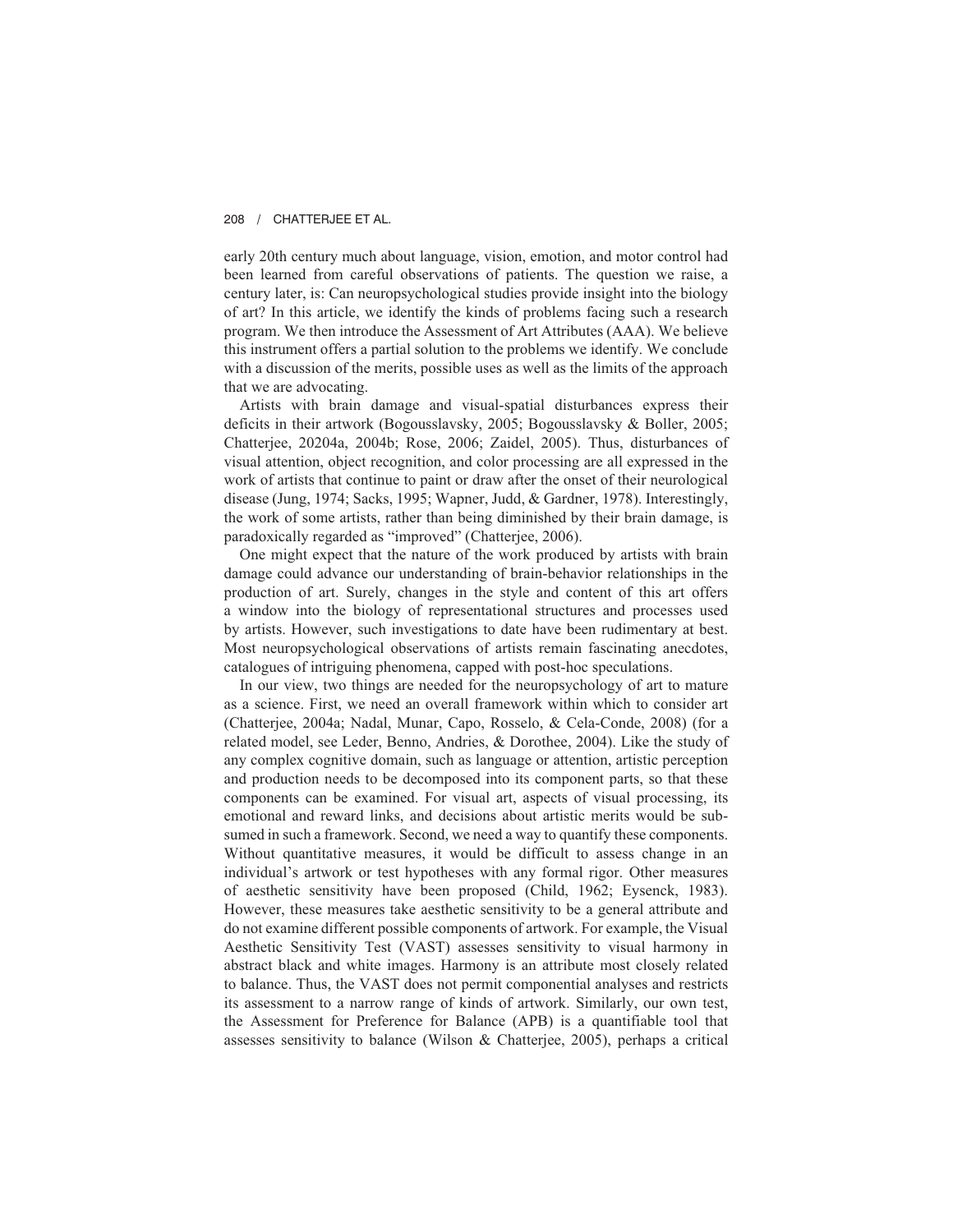early 20th century much about language, vision, emotion, and motor control had been learned from careful observations of patients. The question we raise, a century later, is: Can neuropsychological studies provide insight into the biology of art? In this article, we identify the kinds of problems facing such a research program. We then introduce the Assessment of Art Attributes (AAA). We believe this instrument offers a partial solution to the problems we identify. We conclude with a discussion of the merits, possible uses as well as the limits of the approach that we are advocating.

Artists with brain damage and visual-spatial disturbances express their deficits in their artwork (Bogousslavsky, 2005; Bogousslavsky & Boller, 2005; Chatterjee, 20204a, 2004b; Rose, 2006; Zaidel, 2005). Thus, disturbances of visual attention, object recognition, and color processing are all expressed in the work of artists that continue to paint or draw after the onset of their neurological disease (Jung, 1974; Sacks, 1995; Wapner, Judd, & Gardner, 1978). Interestingly, the work of some artists, rather than being diminished by their brain damage, is paradoxically regarded as "improved" (Chatterjee, 2006).

One might expect that the nature of the work produced by artists with brain damage could advance our understanding of brain-behavior relationships in the production of art. Surely, changes in the style and content of this art offers a window into the biology of representational structures and processes used by artists. However, such investigations to date have been rudimentary at best. Most neuropsychological observations of artists remain fascinating anecdotes, catalogues of intriguing phenomena, capped with post-hoc speculations.

In our view, two things are needed for the neuropsychology of art to mature as a science. First, we need an overall framework within which to consider art (Chatterjee, 2004a; Nadal, Munar, Capo, Rosselo, & Cela-Conde, 2008) (for a related model, see Leder, Benno, Andries, & Dorothee, 2004). Like the study of any complex cognitive domain, such as language or attention, artistic perception and production needs to be decomposed into its component parts, so that these components can be examined. For visual art, aspects of visual processing, its emotional and reward links, and decisions about artistic merits would be subsumed in such a framework. Second, we need a way to quantify these components. Without quantitative measures, it would be difficult to assess change in an individual's artwork or test hypotheses with any formal rigor. Other measures of aesthetic sensitivity have been proposed (Child, 1962; Eysenck, 1983). However, these measures take aesthetic sensitivity to be a general attribute and do not examine different possible components of artwork. For example, the Visual Aesthetic Sensitivity Test (VAST) assesses sensitivity to visual harmony in abstract black and white images. Harmony is an attribute most closely related to balance. Thus, the VAST does not permit componential analyses and restricts its assessment to a narrow range of kinds of artwork. Similarly, our own test, the Assessment for Preference for Balance (APB) is a quantifiable tool that assesses sensitivity to balance (Wilson & Chatterjee, 2005), perhaps a critical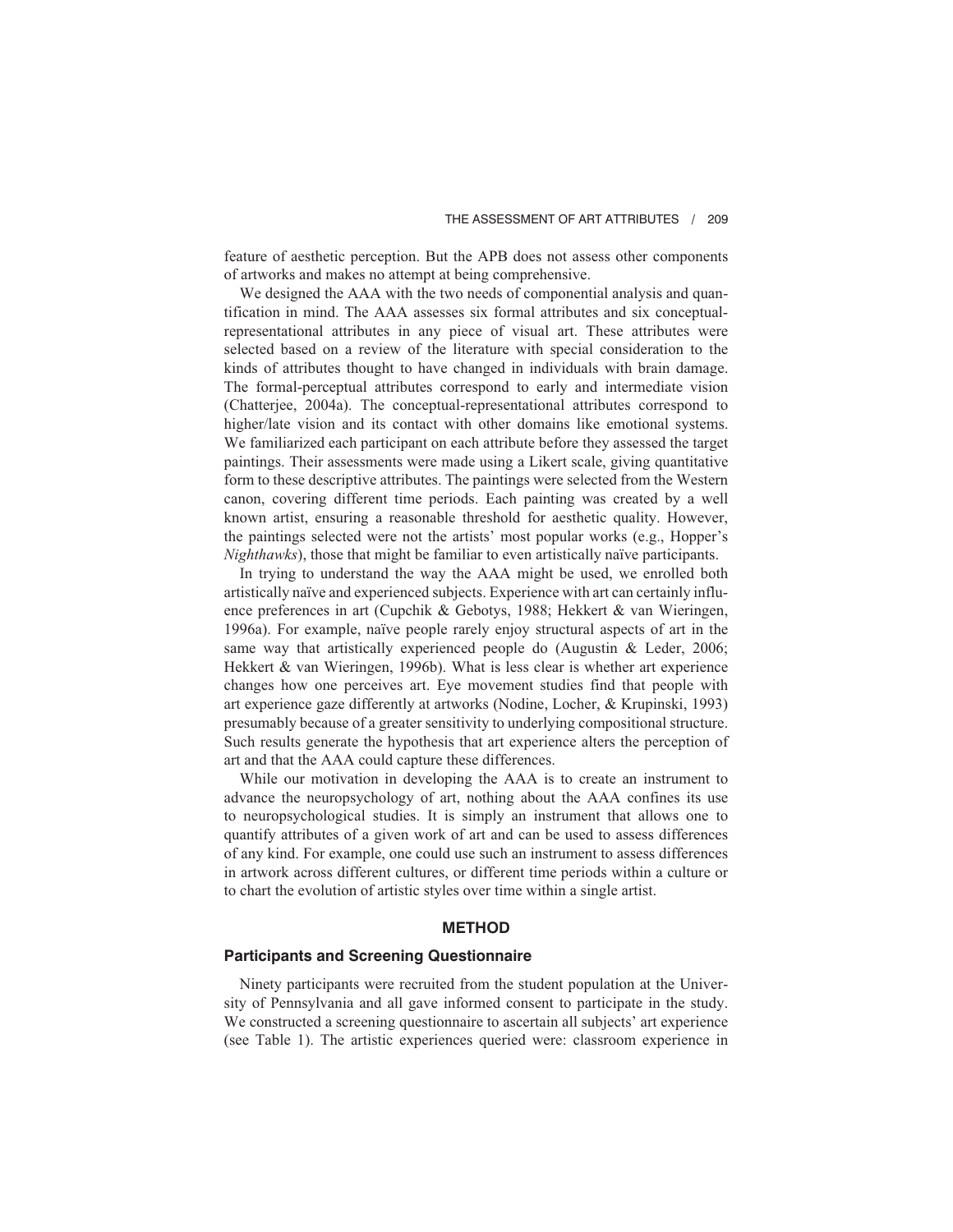feature of aesthetic perception. But the APB does not assess other components of artworks and makes no attempt at being comprehensive.

We designed the AAA with the two needs of componential analysis and quantification in mind. The AAA assesses six formal attributes and six conceptualrepresentational attributes in any piece of visual art. These attributes were selected based on a review of the literature with special consideration to the kinds of attributes thought to have changed in individuals with brain damage. The formal-perceptual attributes correspond to early and intermediate vision (Chatterjee, 2004a). The conceptual-representational attributes correspond to higher/late vision and its contact with other domains like emotional systems. We familiarized each participant on each attribute before they assessed the target paintings. Their assessments were made using a Likert scale, giving quantitative form to these descriptive attributes. The paintings were selected from the Western canon, covering different time periods. Each painting was created by a well known artist, ensuring a reasonable threshold for aesthetic quality. However, the paintings selected were not the artists' most popular works (e.g., Hopper's *Nighthawks*), those that might be familiar to even artistically naïve participants.

In trying to understand the way the AAA might be used, we enrolled both artistically naïve and experienced subjects. Experience with art can certainly influence preferences in art (Cupchik & Gebotys, 1988; Hekkert & van Wieringen, 1996a). For example, naïve people rarely enjoy structural aspects of art in the same way that artistically experienced people do (Augustin & Leder, 2006; Hekkert & van Wieringen, 1996b). What is less clear is whether art experience changes how one perceives art. Eye movement studies find that people with art experience gaze differently at artworks (Nodine, Locher, & Krupinski, 1993) presumably because of a greater sensitivity to underlying compositional structure. Such results generate the hypothesis that art experience alters the perception of art and that the AAA could capture these differences.

While our motivation in developing the AAA is to create an instrument to advance the neuropsychology of art, nothing about the AAA confines its use to neuropsychological studies. It is simply an instrument that allows one to quantify attributes of a given work of art and can be used to assess differences of any kind. For example, one could use such an instrument to assess differences in artwork across different cultures, or different time periods within a culture or to chart the evolution of artistic styles over time within a single artist.

#### **METHOD**

# **Participants and Screening Questionnaire**

Ninety participants were recruited from the student population at the University of Pennsylvania and all gave informed consent to participate in the study. We constructed a screening questionnaire to ascertain all subjects' art experience (see Table 1). The artistic experiences queried were: classroom experience in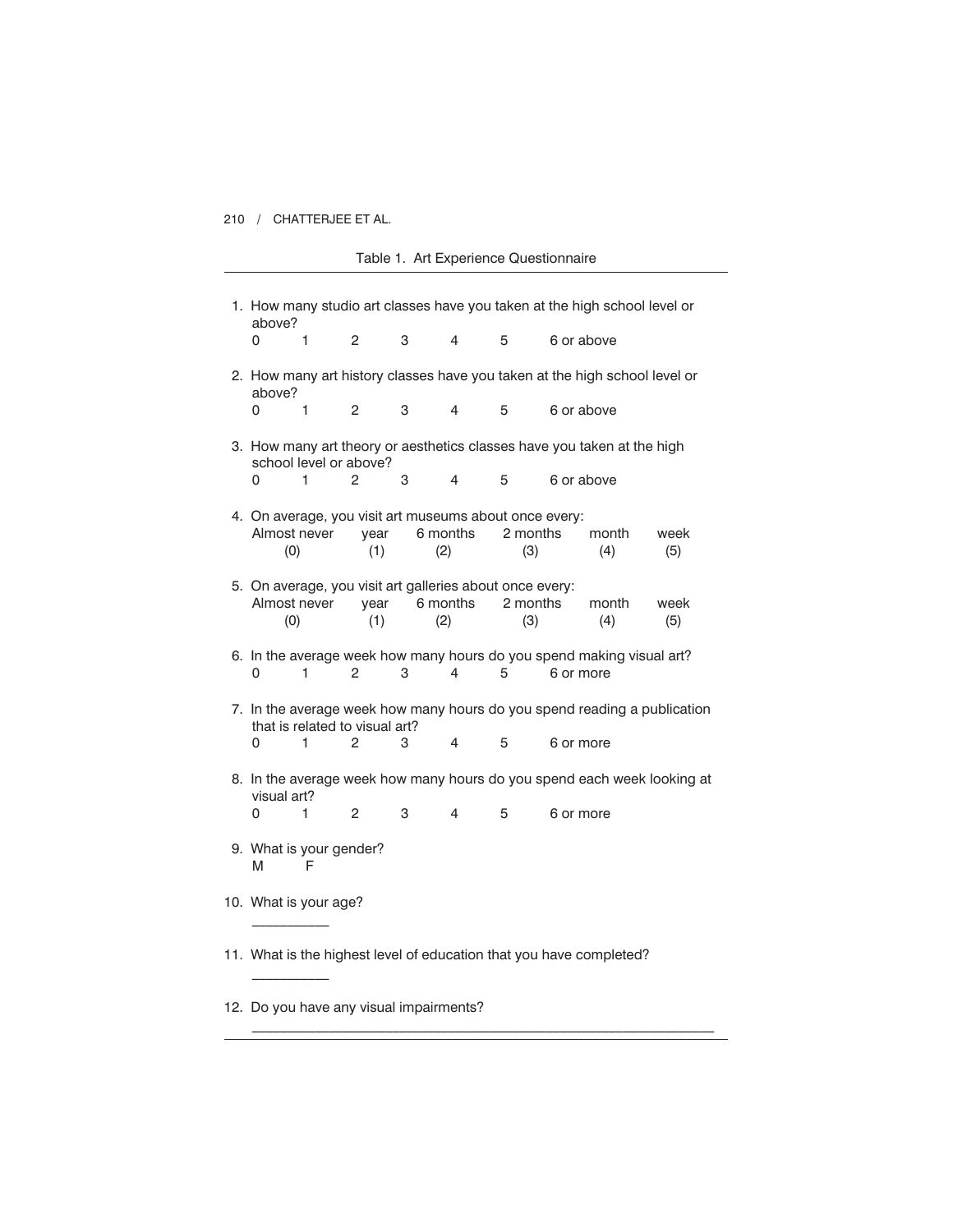|                              |   |                                | Table 1. Art Experience Questionnaire                    |                |          |           |                                                                            |                                                                          |
|------------------------------|---|--------------------------------|----------------------------------------------------------|----------------|----------|-----------|----------------------------------------------------------------------------|--------------------------------------------------------------------------|
| above?                       |   |                                |                                                          |                |          |           | 1. How many studio art classes have you taken at the high school level or  |                                                                          |
| $\Omega$                     | 1 | $\mathcal{P}$                  | 3                                                        | 4              | 5        |           | 6 or above                                                                 |                                                                          |
| above?                       |   |                                |                                                          |                |          |           | 2. How many art history classes have you taken at the high school level or |                                                                          |
| 0                            | 1 | $\overline{2}$                 | 3                                                        | 4              | 5        |           | 6 or above                                                                 |                                                                          |
|                              |   | school level or above?         |                                                          |                |          |           | 3. How many art theory or aesthetics classes have you taken at the high    |                                                                          |
| 0                            | 1 | $\overline{2}$                 | 3                                                        | $\overline{4}$ | 5        |           | 6 or above                                                                 |                                                                          |
| Almost never                 |   | vear                           | 4. On average, you visit art museums about once every:   | 6 months       | 2 months |           | month                                                                      | week                                                                     |
| (0)                          |   | (1)                            | (2)                                                      |                | (3)      |           | (4)                                                                        | (5)                                                                      |
| Almost never                 |   | year                           | 5. On average, you visit art galleries about once every: | 6 months       | 2 months |           | month                                                                      | week                                                                     |
| (0)                          |   | (1)                            | (2)                                                      |                | (3)      |           | (4)                                                                        | (5)                                                                      |
| 0                            | 1 | $\mathcal{P}$                  | 3                                                        | 4              | 5        | 6 or more | 6. In the average week how many hours do you spend making visual art?      |                                                                          |
|                              |   | that is related to visual art? |                                                          |                |          |           |                                                                            | 7. In the average week how many hours do you spend reading a publication |
| 0                            | 1 | 2                              | 3                                                        | 4              | 5        | 6 or more |                                                                            |                                                                          |
| visual art?                  |   |                                |                                                          |                |          |           |                                                                            | 8. In the average week how many hours do you spend each week looking at  |
| 0                            | 1 | 2                              | 3                                                        | 4              | 5        | 6 or more |                                                                            |                                                                          |
| 9. What is your gender?<br>M | F |                                |                                                          |                |          |           |                                                                            |                                                                          |
| 10. What is your age?        |   |                                |                                                          |                |          |           |                                                                            |                                                                          |
|                              |   |                                |                                                          |                |          |           | 11. What is the highest level of education that you have completed?        |                                                                          |

 $\overline{\phantom{a}1}$  ,  $\overline{\phantom{a}1}$  ,  $\overline{\phantom{a}1}$  ,  $\overline{\phantom{a}1}$  ,  $\overline{\phantom{a}1}$  ,  $\overline{\phantom{a}1}$  ,  $\overline{\phantom{a}1}$  ,  $\overline{\phantom{a}1}$  ,  $\overline{\phantom{a}1}$  ,  $\overline{\phantom{a}1}$  ,  $\overline{\phantom{a}1}$  ,  $\overline{\phantom{a}1}$  ,  $\overline{\phantom{a}1}$  ,  $\overline{\phantom{a}1}$ 

Table 1. Art Experience Questionnaire

12. Do you have any visual impairments?

 $\overline{\phantom{a}}$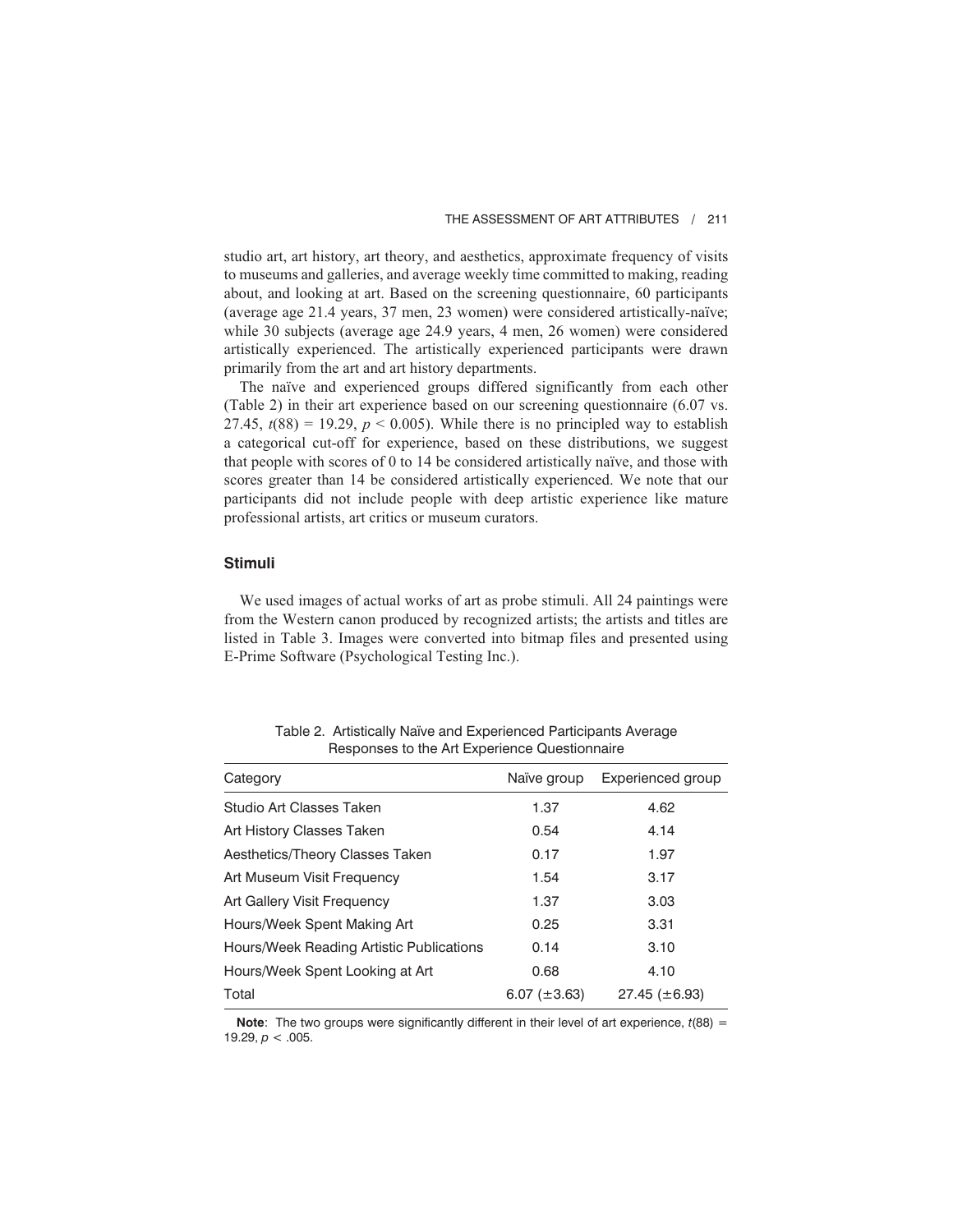studio art, art history, art theory, and aesthetics, approximate frequency of visits to museums and galleries, and average weekly time committed to making, reading about, and looking at art. Based on the screening questionnaire, 60 participants (average age 21.4 years, 37 men, 23 women) were considered artistically-naïve; while 30 subjects (average age 24.9 years, 4 men, 26 women) were considered artistically experienced. The artistically experienced participants were drawn primarily from the art and art history departments.

The naïve and experienced groups differed significantly from each other (Table 2) in their art experience based on our screening questionnaire (6.07 vs. 27.45,  $t(88) = 19.29$ ,  $p < 0.005$ ). While there is no principled way to establish a categorical cut-off for experience, based on these distributions, we suggest that people with scores of 0 to 14 be considered artistically naïve, and those with scores greater than 14 be considered artistically experienced. We note that our participants did not include people with deep artistic experience like mature professional artists, art critics or museum curators.

# **Stimuli**

We used images of actual works of art as probe stimuli. All 24 paintings were from the Western canon produced by recognized artists; the artists and titles are listed in Table 3. Images were converted into bitmap files and presented using E-Prime Software (Psychological Testing Inc.).

| Category                                 | Naïve group       | Experienced group  |
|------------------------------------------|-------------------|--------------------|
| Studio Art Classes Taken                 | 1.37              | 4.62               |
| Art History Classes Taken                | 0.54              | 4.14               |
| Aesthetics/Theory Classes Taken          | 0.17              | 1.97               |
| Art Museum Visit Frequency               | 1.54              | 3.17               |
| Art Gallery Visit Frequency              | 1.37              | 3.03               |
| Hours/Week Spent Making Art              | 0.25              | 3.31               |
| Hours/Week Reading Artistic Publications | 0.14              | 3.10               |
| Hours/Week Spent Looking at Art          | 0.68              | 4.10               |
| Total                                    | 6.07 $(\pm 3.63)$ | $27.45 (\pm 6.93)$ |

Table 2. Artistically Naïve and Experienced Participants Average Responses to the Art Experience Questionnaire

**Note**: The two groups were significantly different in their level of art experience,  $t(88)$  = 19.29,  $p < 0.005$ .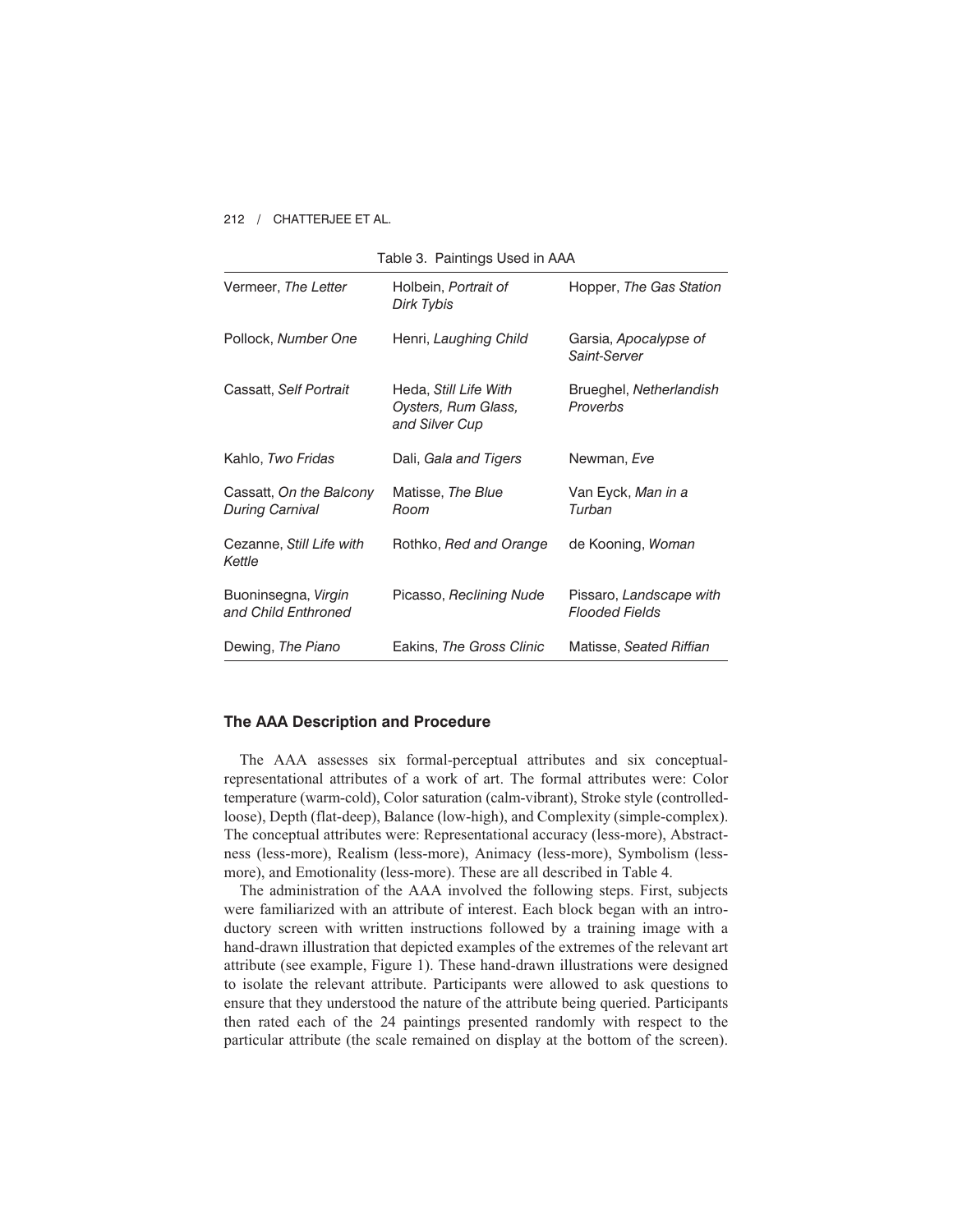|  | Table 3. Paintings Used in AAA |  |  |  |
|--|--------------------------------|--|--|--|
|--|--------------------------------|--|--|--|

| Vermeer, The Letter                               | Holbein, Portrait of<br>Dirk Tybis                             | Hopper, The Gas Station                          |
|---------------------------------------------------|----------------------------------------------------------------|--------------------------------------------------|
| Pollock, Number One                               | Henri, Laughing Child                                          | Garsia, Apocalypse of<br>Saint-Server            |
| Cassatt, Self Portrait                            | Heda, Still Life With<br>Oysters, Rum Glass,<br>and Silver Cup | Brueghel, Netherlandish<br>Proverbs              |
| Kahlo, Two Fridas                                 | Dali, Gala and Tigers                                          | Newman, Eve                                      |
| Cassatt, On the Balcony<br><b>During Carnival</b> | Matisse, The Blue<br>Room                                      | Van Eyck, <i>Man in a</i><br>Turban              |
| Cezanne, Still Life with<br>Kettle                | Rothko, Red and Orange                                         | de Kooning, Woman                                |
| Buoninsegna, Virgin<br>and Child Enthroned        | Picasso, Reclining Nude                                        | Pissaro, Landscape with<br><b>Flooded Fields</b> |
| Dewing, The Piano                                 | Eakins, The Gross Clinic                                       | Matisse, Seated Riffian                          |

## **The AAA Description and Procedure**

The AAA assesses six formal-perceptual attributes and six conceptualrepresentational attributes of a work of art. The formal attributes were: Color temperature (warm-cold), Color saturation (calm-vibrant), Stroke style (controlledloose), Depth (flat-deep), Balance (low-high), and Complexity (simple-complex). The conceptual attributes were: Representational accuracy (less-more), Abstractness (less-more), Realism (less-more), Animacy (less-more), Symbolism (lessmore), and Emotionality (less-more). These are all described in Table 4.

The administration of the AAA involved the following steps. First, subjects were familiarized with an attribute of interest. Each block began with an introductory screen with written instructions followed by a training image with a hand-drawn illustration that depicted examples of the extremes of the relevant art attribute (see example, Figure 1). These hand-drawn illustrations were designed to isolate the relevant attribute. Participants were allowed to ask questions to ensure that they understood the nature of the attribute being queried. Participants then rated each of the 24 paintings presented randomly with respect to the particular attribute (the scale remained on display at the bottom of the screen).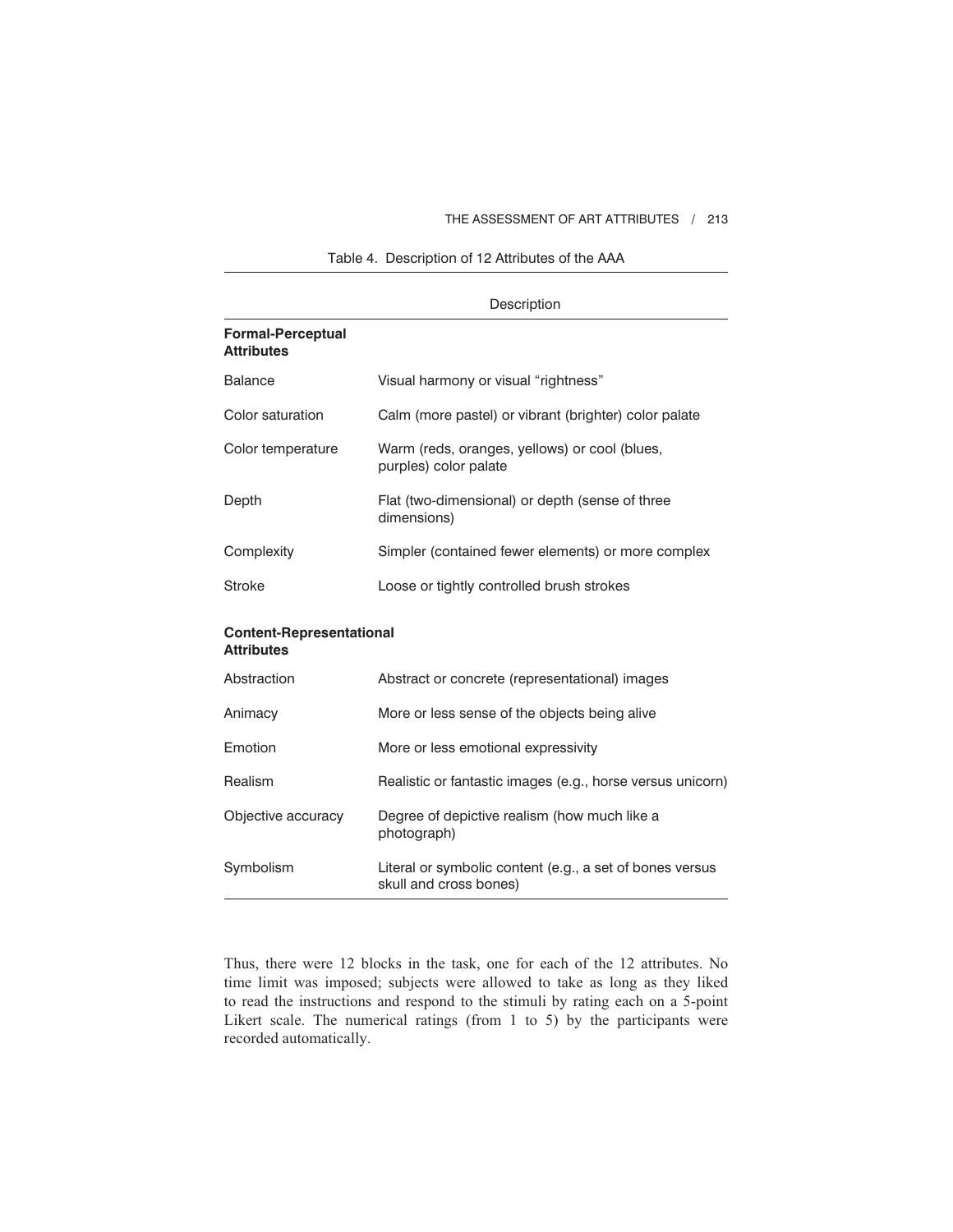## THE ASSESSMENT OF ART ATTRIBUTES / 213

Table 4. Description of 12 Attributes of the AAA

|                                                      | Description                                                                        |
|------------------------------------------------------|------------------------------------------------------------------------------------|
| <b>Formal-Perceptual</b><br><b>Attributes</b>        |                                                                                    |
| <b>Balance</b>                                       | Visual harmony or visual "rightness"                                               |
| Color saturation                                     | Calm (more pastel) or vibrant (brighter) color palate                              |
| Color temperature                                    | Warm (reds, oranges, yellows) or cool (blues,<br>purples) color palate             |
| Depth                                                | Flat (two-dimensional) or depth (sense of three<br>dimensions)                     |
| Complexity                                           | Simpler (contained fewer elements) or more complex                                 |
| <b>Stroke</b>                                        | Loose or tightly controlled brush strokes                                          |
| <b>Content-Representational</b><br><b>Attributes</b> |                                                                                    |
| Abstraction                                          | Abstract or concrete (representational) images                                     |
| Animacy                                              | More or less sense of the objects being alive                                      |
| Emotion                                              | More or less emotional expressivity                                                |
| Realism                                              | Realistic or fantastic images (e.g., horse versus unicorn)                         |
| Objective accuracy                                   | Degree of depictive realism (how much like a<br>photograph)                        |
| Symbolism                                            | Literal or symbolic content (e.g., a set of bones versus<br>skull and cross bones) |

Thus, there were 12 blocks in the task, one for each of the 12 attributes. No time limit was imposed; subjects were allowed to take as long as they liked to read the instructions and respond to the stimuli by rating each on a 5-point Likert scale. The numerical ratings (from 1 to 5) by the participants were recorded automatically.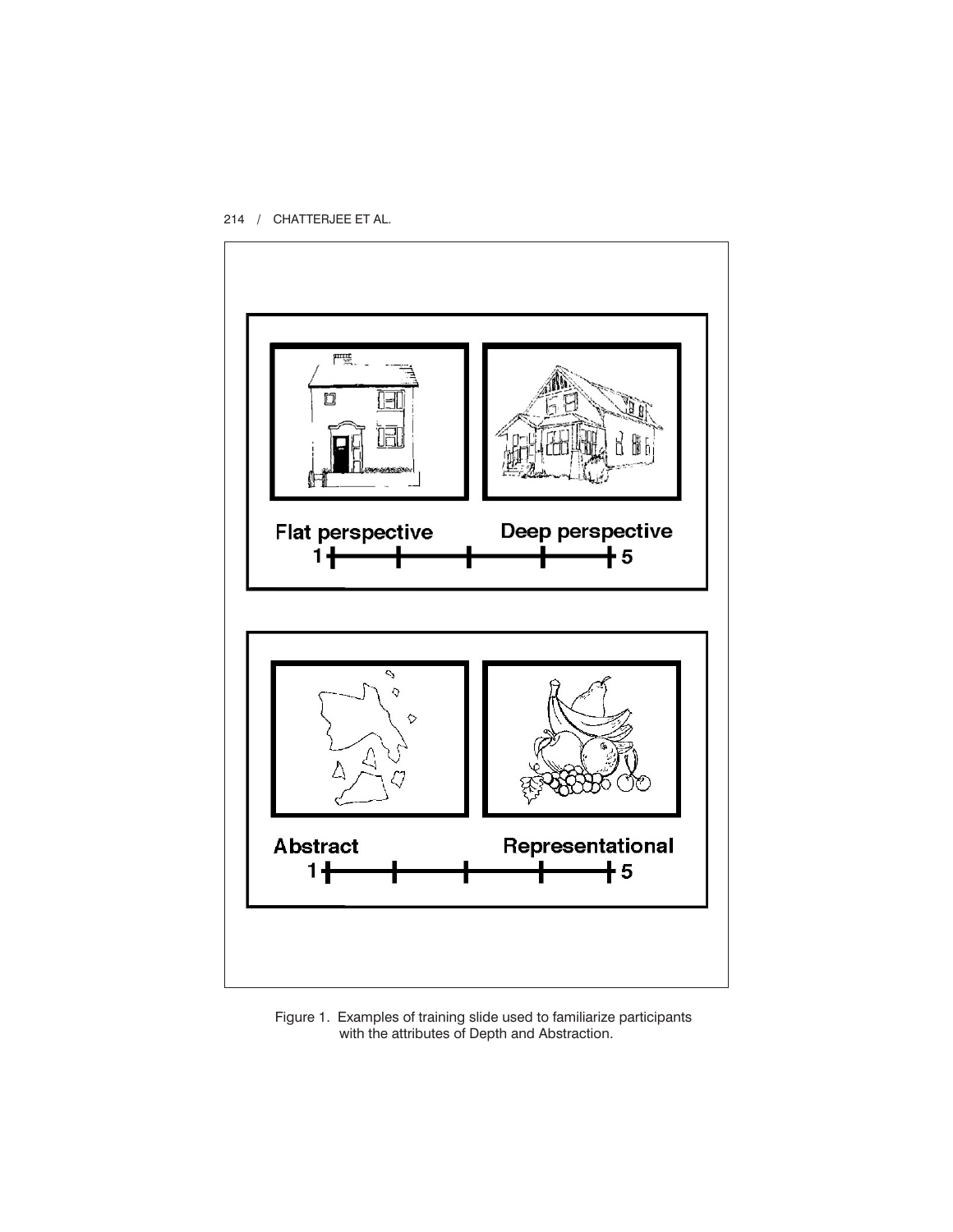214 / CHATTERJEE ET AL.



Figure 1. Examples of training slide used to familiarize participants with the attributes of Depth and Abstraction.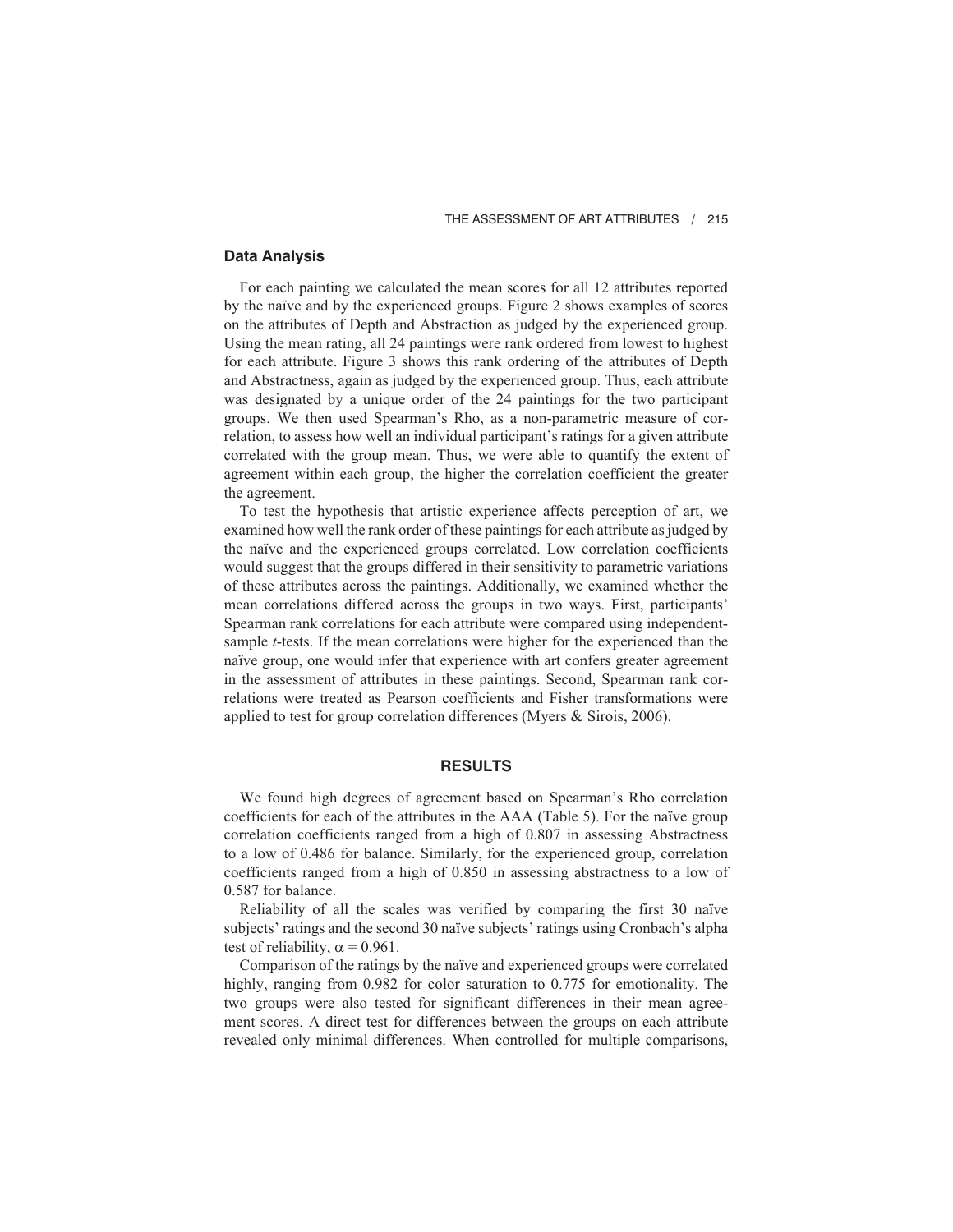#### THE ASSESSMENT OF ART ATTRIBUTES / 215

# **Data Analysis**

For each painting we calculated the mean scores for all 12 attributes reported by the naïve and by the experienced groups. Figure 2 shows examples of scores on the attributes of Depth and Abstraction as judged by the experienced group. Using the mean rating, all 24 paintings were rank ordered from lowest to highest for each attribute. Figure 3 shows this rank ordering of the attributes of Depth and Abstractness, again as judged by the experienced group. Thus, each attribute was designated by a unique order of the 24 paintings for the two participant groups. We then used Spearman's Rho, as a non-parametric measure of correlation, to assess how well an individual participant's ratings for a given attribute correlated with the group mean. Thus, we were able to quantify the extent of agreement within each group, the higher the correlation coefficient the greater the agreement.

To test the hypothesis that artistic experience affects perception of art, we examined how well the rank order of these paintings for each attribute as judged by the naïve and the experienced groups correlated. Low correlation coefficients would suggest that the groups differed in their sensitivity to parametric variations of these attributes across the paintings. Additionally, we examined whether the mean correlations differed across the groups in two ways. First, participants' Spearman rank correlations for each attribute were compared using independentsample *t*-tests. If the mean correlations were higher for the experienced than the naïve group, one would infer that experience with art confers greater agreement in the assessment of attributes in these paintings. Second, Spearman rank correlations were treated as Pearson coefficients and Fisher transformations were applied to test for group correlation differences (Myers & Sirois, 2006).

## **RESULTS**

We found high degrees of agreement based on Spearman's Rho correlation coefficients for each of the attributes in the AAA (Table 5). For the naïve group correlation coefficients ranged from a high of 0.807 in assessing Abstractness to a low of 0.486 for balance. Similarly, for the experienced group, correlation coefficients ranged from a high of 0.850 in assessing abstractness to a low of 0.587 for balance.

Reliability of all the scales was verified by comparing the first 30 naïve subjects' ratings and the second 30 naïve subjects' ratings using Cronbach's alpha test of reliability,  $\alpha = 0.961$ .

Comparison of the ratings by the naïve and experienced groups were correlated highly, ranging from 0.982 for color saturation to 0.775 for emotionality. The two groups were also tested for significant differences in their mean agreement scores. A direct test for differences between the groups on each attribute revealed only minimal differences. When controlled for multiple comparisons,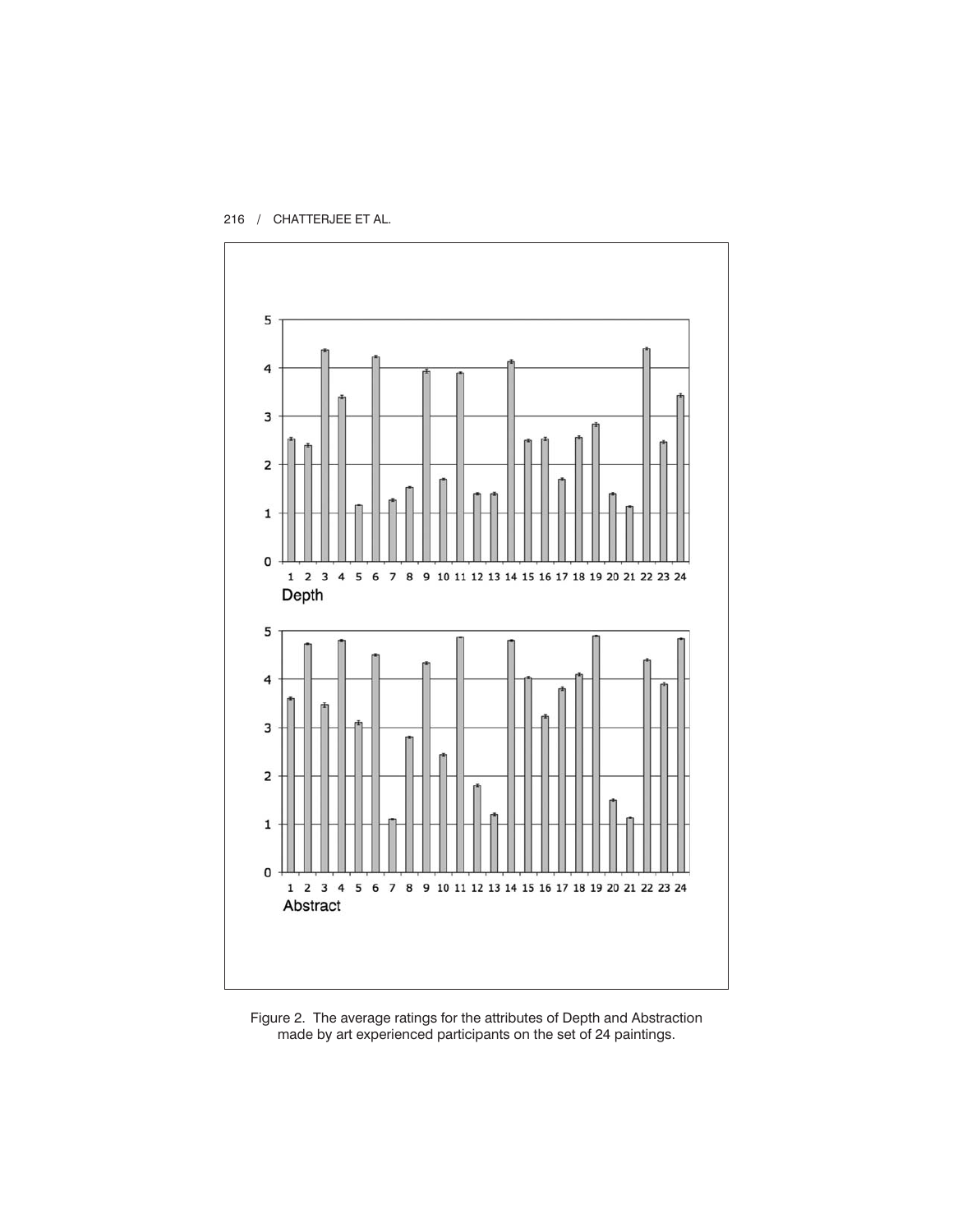



Figure 2. The average ratings for the attributes of Depth and Abstraction made by art experienced participants on the set of 24 paintings.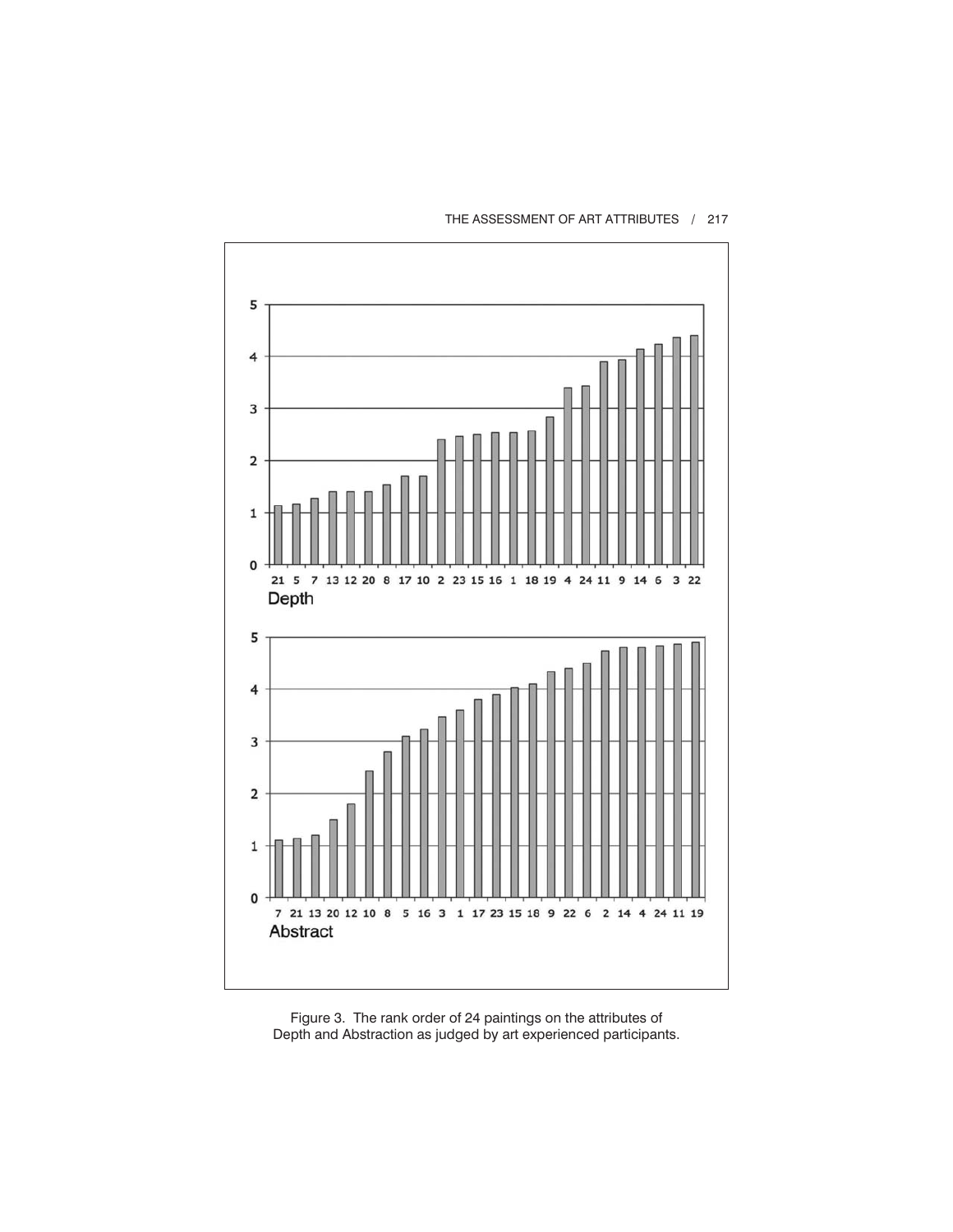

# THE ASSESSMENT OF ART ATTRIBUTES / 217

Figure 3. The rank order of 24 paintings on the attributes of Depth and Abstraction as judged by art experienced participants.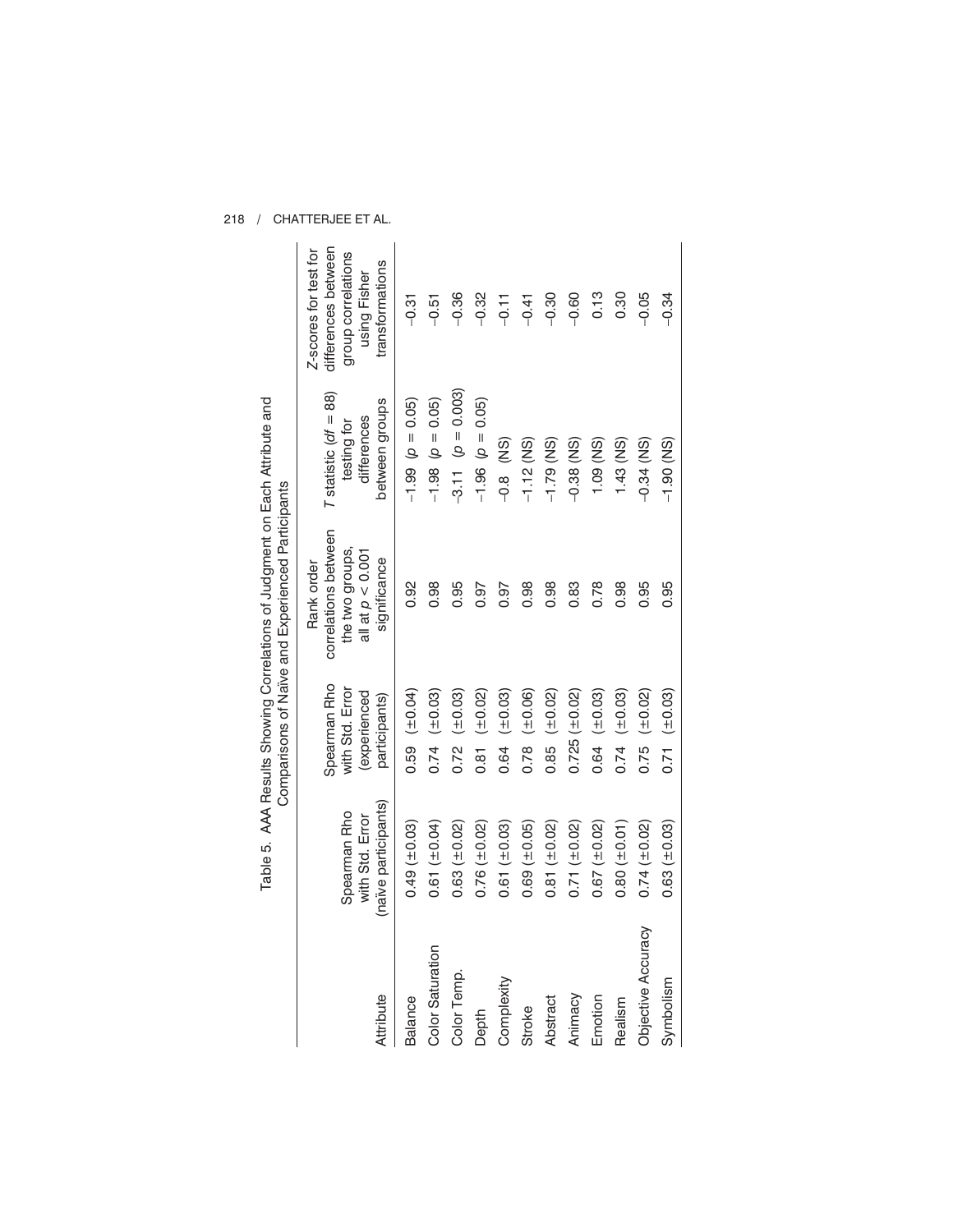|                    |                                 |                                 | Table 5. AAA Results Showing Correlations of Judgment on Each Attribute and<br>Comparisons of Naïve and Experienced Participants |                                            |                                           |
|--------------------|---------------------------------|---------------------------------|----------------------------------------------------------------------------------------------------------------------------------|--------------------------------------------|-------------------------------------------|
|                    |                                 |                                 | Rank order                                                                                                                       |                                            | Z-scores for test for                     |
|                    | Spearman Rho<br>with Std. Error | Spearman Rho<br>with Std. Error | correlations between<br>the two groups,                                                                                          | $T$ statistic ( $df = 88$ )<br>testing for | differences between<br>group correlations |
| Attribute          | (naïve participants)            | experienced<br>participants)    | all at $\rho < 0.001$<br>significance                                                                                            | between groups<br>differences              | transformations<br>using Fisher           |
| Balance            | 0.49(10.03)                     | (140.04)                        | 0.92                                                                                                                             | $-1.99$ ( $p = 0.05$ )                     | $-0.31$                                   |
| Color Saturation   | $0.61$ ( $\pm 0.04$ )           | $0.74$ ( $\pm 0.03$ )           | 0.98                                                                                                                             | $-1.98$ ( $p = 0.05$ )                     | $-0.51$                                   |
| Color Temp.        | $0.63~(\pm 0.02)$               | $0.72 \quad (+0.03)$            | 0.95                                                                                                                             | $-3.11$ ( $p = 0.003$ )                    | $-0.36$                                   |
| Depth              | $0.76(\pm 0.02)$                | $0.81$ (±0.02)                  | 0.97                                                                                                                             | $-1.96$ ( $p = 0.05$ )                     | $-0.32$                                   |
| Complexity         | $0.61 (\pm 0.03)$               | $0.64$ ( $\pm 0.03$ )           | 0.97                                                                                                                             | $-0.8$ (NS)                                | $-0.11$                                   |
| Stroke             | $0.69 \; (\pm 0.05)$            | $0.78$ (±0.06)                  | 0.98                                                                                                                             | $-1.12$ (NS)                               | $-0.41$                                   |
| Abstract           | $0.81 (\pm 0.02)$               | $0.85$ (±0.02)                  | 0.98                                                                                                                             | $-1.79$ (NS)                               | $-0.30$                                   |
| Animacy            | $0.71 (\pm 0.02)$               | $0.725 \ (\pm 0.02)$            | 0.83                                                                                                                             | $-0.38$ (NS)                               | $-0.60$                                   |
| Emotion            | $0.67~(\pm 0.02)$               | $0.64$ ( $\pm 0.03$ )           | 0.78                                                                                                                             | 1.09 (NS)                                  | 0.13                                      |
| Realism            | $0.80~(\pm 0.01)$               | $0.74$ ( $\pm 0.03$ )           | 0.98                                                                                                                             | 1.43 (NS)                                  | 0.30                                      |
| Objective Accuracy | $0.74 \; (\pm 0.02)$            | $(1 + 0.02)$<br>0.75            | 0.95                                                                                                                             | $-0.34$ (NS)                               | $-0.05$                                   |
| Symbolism          | $0.63~(\pm 0.03)$               | $0.71$ ( $\pm 0.03$ )           | 0.95                                                                                                                             | $-1.90$ (NS)                               | $-0.34$                                   |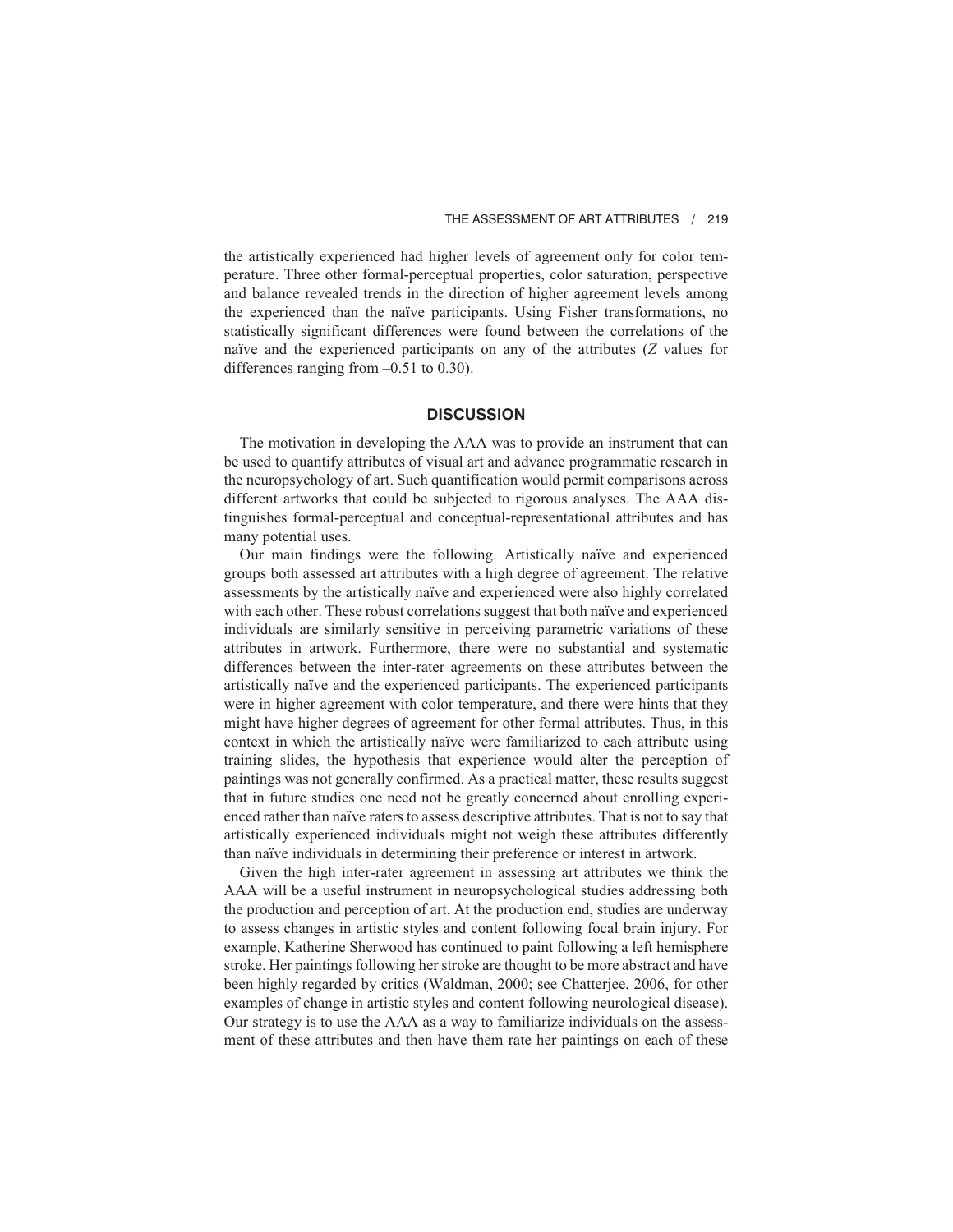the artistically experienced had higher levels of agreement only for color temperature. Three other formal-perceptual properties, color saturation, perspective and balance revealed trends in the direction of higher agreement levels among the experienced than the naïve participants. Using Fisher transformations, no statistically significant differences were found between the correlations of the naïve and the experienced participants on any of the attributes (*Z* values for differences ranging from –0.51 to 0.30).

## **DISCUSSION**

The motivation in developing the AAA was to provide an instrument that can be used to quantify attributes of visual art and advance programmatic research in the neuropsychology of art. Such quantification would permit comparisons across different artworks that could be subjected to rigorous analyses. The AAA distinguishes formal-perceptual and conceptual-representational attributes and has many potential uses.

Our main findings were the following. Artistically naïve and experienced groups both assessed art attributes with a high degree of agreement. The relative assessments by the artistically naïve and experienced were also highly correlated with each other. These robust correlations suggest that both naïve and experienced individuals are similarly sensitive in perceiving parametric variations of these attributes in artwork. Furthermore, there were no substantial and systematic differences between the inter-rater agreements on these attributes between the artistically naïve and the experienced participants. The experienced participants were in higher agreement with color temperature, and there were hints that they might have higher degrees of agreement for other formal attributes. Thus, in this context in which the artistically naïve were familiarized to each attribute using training slides, the hypothesis that experience would alter the perception of paintings was not generally confirmed. As a practical matter, these results suggest that in future studies one need not be greatly concerned about enrolling experienced rather than naïve raters to assess descriptive attributes. That is not to say that artistically experienced individuals might not weigh these attributes differently than naïve individuals in determining their preference or interest in artwork.

Given the high inter-rater agreement in assessing art attributes we think the AAA will be a useful instrument in neuropsychological studies addressing both the production and perception of art. At the production end, studies are underway to assess changes in artistic styles and content following focal brain injury. For example, Katherine Sherwood has continued to paint following a left hemisphere stroke. Her paintings following her stroke are thought to be more abstract and have been highly regarded by critics (Waldman, 2000; see Chatterjee, 2006, for other examples of change in artistic styles and content following neurological disease). Our strategy is to use the AAA as a way to familiarize individuals on the assessment of these attributes and then have them rate her paintings on each of these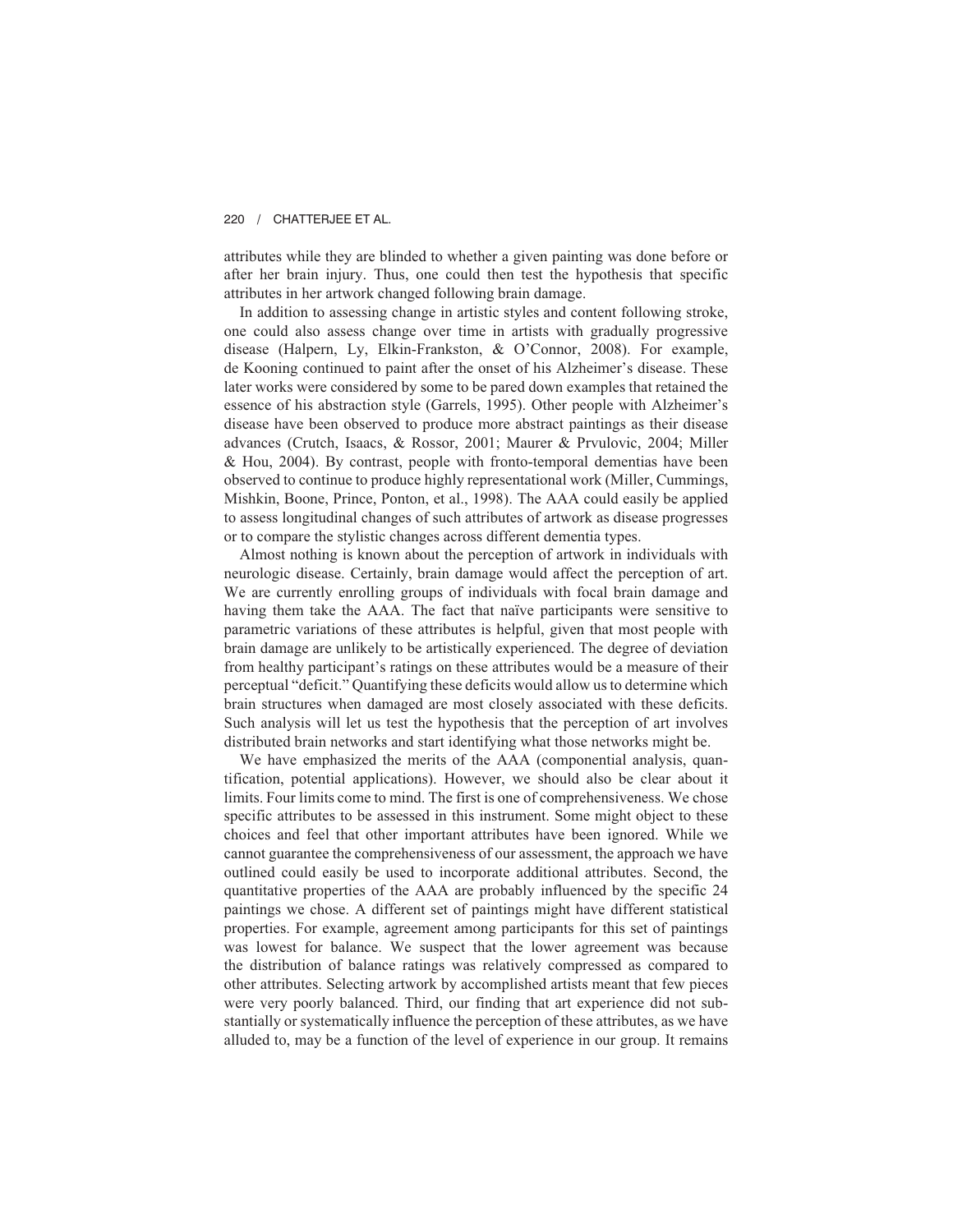attributes while they are blinded to whether a given painting was done before or after her brain injury. Thus, one could then test the hypothesis that specific attributes in her artwork changed following brain damage.

In addition to assessing change in artistic styles and content following stroke, one could also assess change over time in artists with gradually progressive disease (Halpern, Ly, Elkin-Frankston, & O'Connor, 2008). For example, de Kooning continued to paint after the onset of his Alzheimer's disease. These later works were considered by some to be pared down examples that retained the essence of his abstraction style (Garrels, 1995). Other people with Alzheimer's disease have been observed to produce more abstract paintings as their disease advances (Crutch, Isaacs, & Rossor, 2001; Maurer & Prvulovic, 2004; Miller & Hou, 2004). By contrast, people with fronto-temporal dementias have been observed to continue to produce highly representational work (Miller, Cummings, Mishkin, Boone, Prince, Ponton, et al., 1998). The AAA could easily be applied to assess longitudinal changes of such attributes of artwork as disease progresses or to compare the stylistic changes across different dementia types.

Almost nothing is known about the perception of artwork in individuals with neurologic disease. Certainly, brain damage would affect the perception of art. We are currently enrolling groups of individuals with focal brain damage and having them take the AAA. The fact that naïve participants were sensitive to parametric variations of these attributes is helpful, given that most people with brain damage are unlikely to be artistically experienced. The degree of deviation from healthy participant's ratings on these attributes would be a measure of their perceptual "deficit." Quantifying these deficits would allow us to determine which brain structures when damaged are most closely associated with these deficits. Such analysis will let us test the hypothesis that the perception of art involves distributed brain networks and start identifying what those networks might be.

We have emphasized the merits of the AAA (componential analysis, quantification, potential applications). However, we should also be clear about it limits. Four limits come to mind. The first is one of comprehensiveness. We chose specific attributes to be assessed in this instrument. Some might object to these choices and feel that other important attributes have been ignored. While we cannot guarantee the comprehensiveness of our assessment, the approach we have outlined could easily be used to incorporate additional attributes. Second, the quantitative properties of the AAA are probably influenced by the specific 24 paintings we chose. A different set of paintings might have different statistical properties. For example, agreement among participants for this set of paintings was lowest for balance. We suspect that the lower agreement was because the distribution of balance ratings was relatively compressed as compared to other attributes. Selecting artwork by accomplished artists meant that few pieces were very poorly balanced. Third, our finding that art experience did not substantially or systematically influence the perception of these attributes, as we have alluded to, may be a function of the level of experience in our group. It remains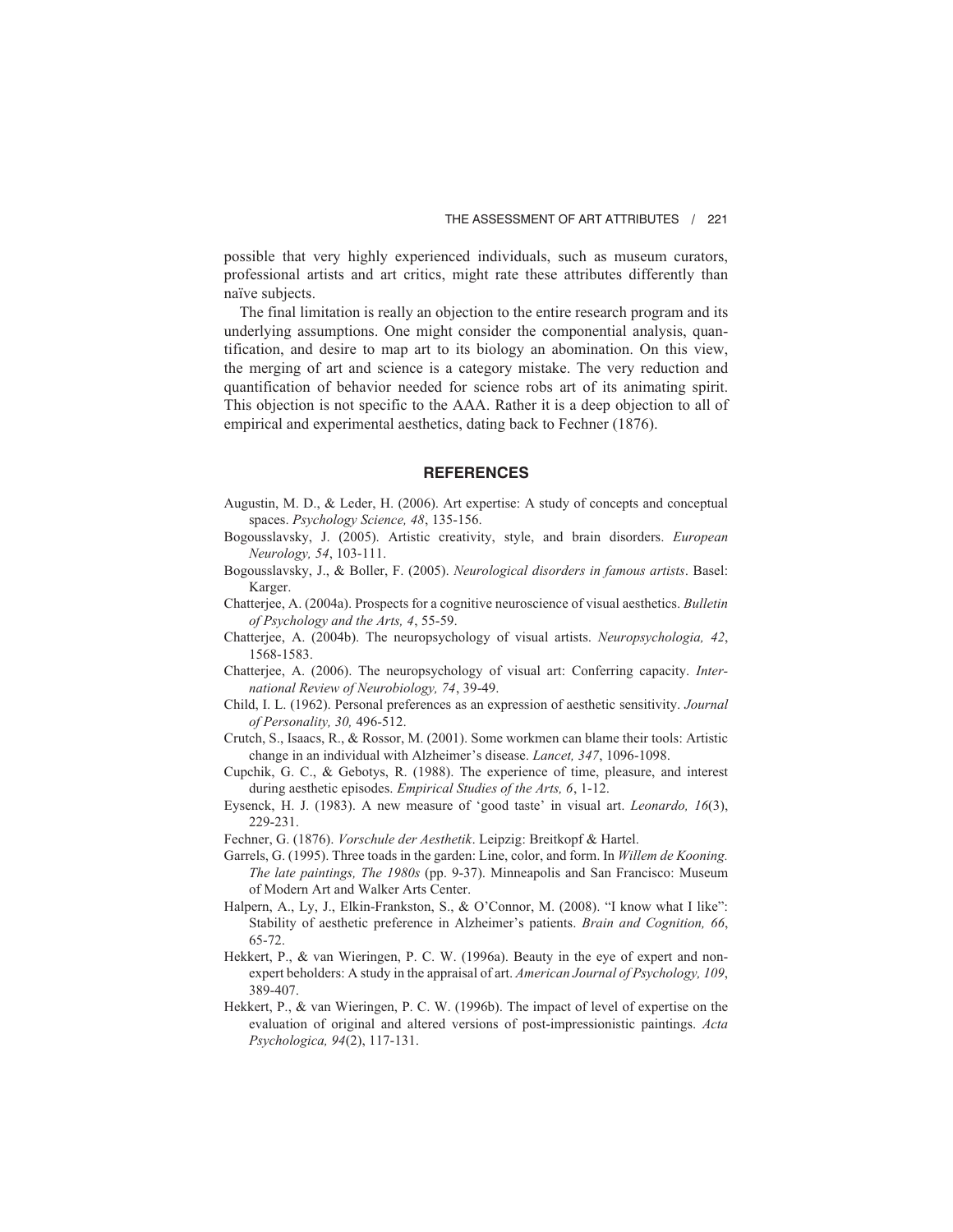possible that very highly experienced individuals, such as museum curators, professional artists and art critics, might rate these attributes differently than naïve subjects.

The final limitation is really an objection to the entire research program and its underlying assumptions. One might consider the componential analysis, quantification, and desire to map art to its biology an abomination. On this view, the merging of art and science is a category mistake. The very reduction and quantification of behavior needed for science robs art of its animating spirit. This objection is not specific to the AAA. Rather it is a deep objection to all of empirical and experimental aesthetics, dating back to Fechner (1876).

## **REFERENCES**

- Augustin, M. D., & Leder, H. (2006). Art expertise: A study of concepts and conceptual spaces. *Psychology Science, 48*, 135-156.
- Bogousslavsky, J. (2005). Artistic creativity, style, and brain disorders. *European Neurology, 54*, 103-111.
- Bogousslavsky, J., & Boller, F. (2005). *Neurological disorders in famous artists*. Basel: Karger.
- Chatterjee, A. (2004a). Prospects for a cognitive neuroscience of visual aesthetics. *Bulletin of Psychology and the Arts, 4*, 55-59.
- Chatterjee, A. (2004b). The neuropsychology of visual artists. *Neuropsychologia, 42*, 1568-1583.
- Chatterjee, A. (2006). The neuropsychology of visual art: Conferring capacity. *International Review of Neurobiology, 74*, 39-49.
- Child, I. L. (1962). Personal preferences as an expression of aesthetic sensitivity. *Journal of Personality, 30,* 496-512.
- Crutch, S., Isaacs, R., & Rossor, M. (2001). Some workmen can blame their tools: Artistic change in an individual with Alzheimer's disease. *Lancet, 347*, 1096-1098.
- Cupchik, G. C., & Gebotys, R. (1988). The experience of time, pleasure, and interest during aesthetic episodes. *Empirical Studies of the Arts, 6*, 1-12.
- Eysenck, H. J. (1983). A new measure of 'good taste' in visual art. *Leonardo, 16*(3), 229-231.
- Fechner, G. (1876). *Vorschule der Aesthetik*. Leipzig: Breitkopf & Hartel.
- Garrels, G. (1995). Three toads in the garden: Line, color, and form. In *Willem de Kooning. The late paintings, The 1980s* (pp. 9-37). Minneapolis and San Francisco: Museum of Modern Art and Walker Arts Center.
- Halpern, A., Ly, J., Elkin-Frankston, S., & O'Connor, M. (2008). "I know what I like": Stability of aesthetic preference in Alzheimer's patients. *Brain and Cognition, 66*, 65-72.
- Hekkert, P., & van Wieringen, P. C. W. (1996a). Beauty in the eye of expert and nonexpert beholders: A study in the appraisal of art. *American Journal of Psychology, 109*, 389-407.
- Hekkert, P., & van Wieringen, P. C. W. (1996b). The impact of level of expertise on the evaluation of original and altered versions of post-impressionistic paintings. *Acta Psychologica, 94*(2), 117-131.